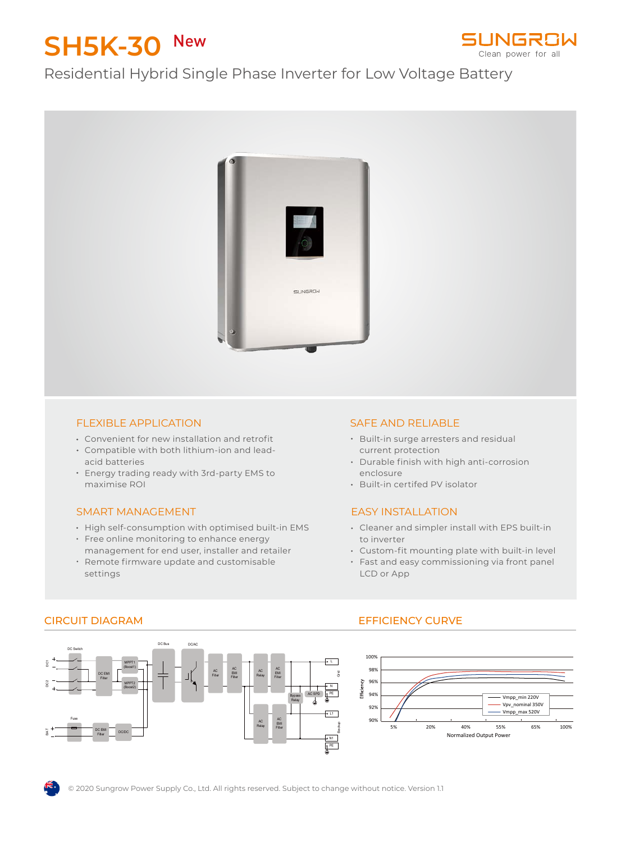# **SH5K-30** New



## Residential Hybrid Single Phase Inverter for Low Voltage Battery



#### FLEXIBLE APPLICATION

- Convenient for new installation and retrofit
- Compatible with both lithium-ion and leadacid batteries
- Energy trading ready with 3rd-party EMS to maximise ROI

#### SMART MANAGEMENT

- High self-consumption with optimised built-in EMS
- Free online monitoring to enhance energy
- management for end user, installer and retailer Remote firmware update and customisable settings

#### SAFE AND RELIABLE

- **Built-in surge arresters and residual** current protection
- Durable finish with high anti-corrosion enclosure
- Built-in certifed PV isolator

#### EASY INSTALLATION

- Cleaner and simpler install with EPS built-in to inverter
- Custom-fit mounting plate with built-in level
- Fast and easy commissioning via front panel LCD or App



#### CIRCUIT DIAGRAM EFFICIENCY CURVE